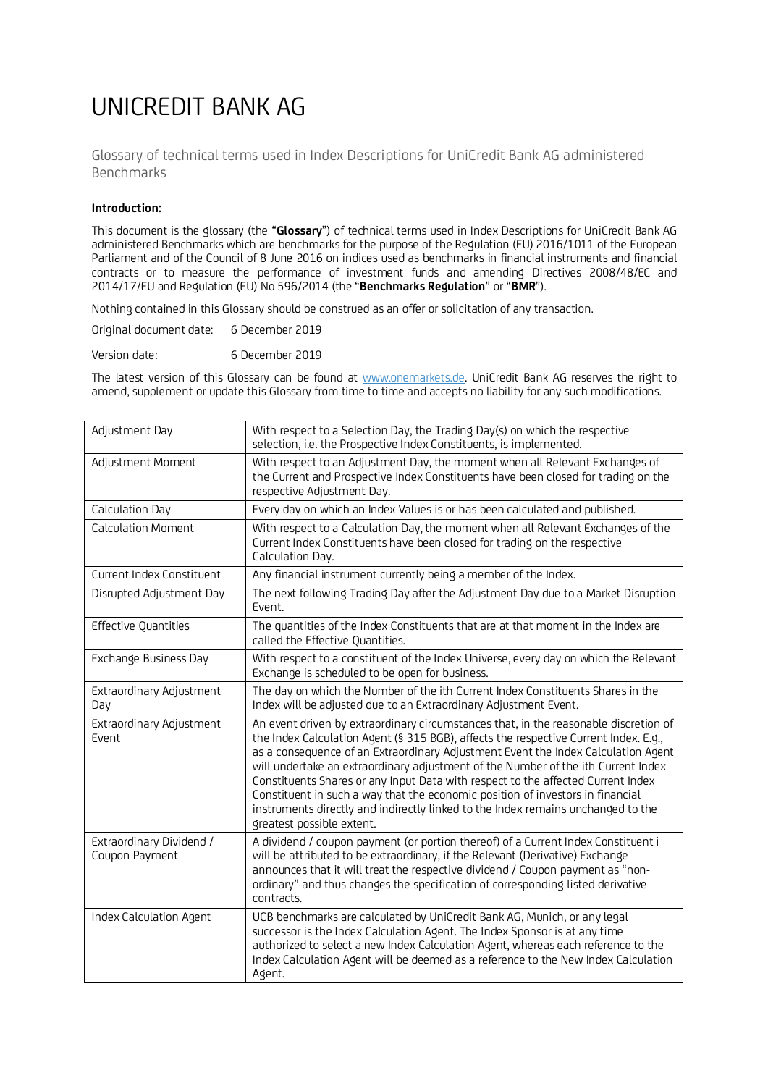## UNICREDIT BANK AG

Glossary of technical terms used in Index Descriptions for UniCredit Bank AG administered Benchmarks

## **Introduction:**

This document is the glossary (the "**Glossary**") of technical terms used in Index Descriptions for UniCredit Bank AG administered Benchmarks which are benchmarks for the purpose of the Regulation (EU) 2016/1011 of the European Parliament and of the Council of 8 June 2016 on indices used as benchmarks in financial instruments and financial contracts or to measure the performance of investment funds and amending Directives 2008/48/EC and 2014/17/EU and Regulation (EU) No 596/2014 (the "**Benchmarks Regulation**" or "**BMR**").

Nothing contained in this Glossary should be construed as an offer or solicitation of any transaction.

Original document date: 6 December 2019

Version date: 6 December 2019

The latest version of this Glossary can be found at www.onemarkets.de. UniCredit Bank AG reserves the right to amend, supplement or update this Glossary from time to time and accepts no liability for any such modifications.

| Adjustment Day                             | With respect to a Selection Day, the Trading Day(s) on which the respective<br>selection, i.e. the Prospective Index Constituents, is implemented.                                                                                                                                                                                                                                                                                                                                                                                                                                                                                            |
|--------------------------------------------|-----------------------------------------------------------------------------------------------------------------------------------------------------------------------------------------------------------------------------------------------------------------------------------------------------------------------------------------------------------------------------------------------------------------------------------------------------------------------------------------------------------------------------------------------------------------------------------------------------------------------------------------------|
| Adjustment Moment                          | With respect to an Adjustment Day, the moment when all Relevant Exchanges of<br>the Current and Prospective Index Constituents have been closed for trading on the<br>respective Adjustment Day.                                                                                                                                                                                                                                                                                                                                                                                                                                              |
| Calculation Day                            | Every day on which an Index Values is or has been calculated and published.                                                                                                                                                                                                                                                                                                                                                                                                                                                                                                                                                                   |
| <b>Calculation Moment</b>                  | With respect to a Calculation Day, the moment when all Relevant Exchanges of the<br>Current Index Constituents have been closed for trading on the respective<br>Calculation Day.                                                                                                                                                                                                                                                                                                                                                                                                                                                             |
| Current Index Constituent                  | Any financial instrument currently being a member of the Index.                                                                                                                                                                                                                                                                                                                                                                                                                                                                                                                                                                               |
| Disrupted Adjustment Day                   | The next following Trading Day after the Adjustment Day due to a Market Disruption<br>Event.                                                                                                                                                                                                                                                                                                                                                                                                                                                                                                                                                  |
| <b>Effective Quantities</b>                | The quantities of the Index Constituents that are at that moment in the Index are<br>called the Effective Quantities.                                                                                                                                                                                                                                                                                                                                                                                                                                                                                                                         |
| Exchange Business Day                      | With respect to a constituent of the Index Universe, every day on which the Relevant<br>Exchange is scheduled to be open for business.                                                                                                                                                                                                                                                                                                                                                                                                                                                                                                        |
| Extraordinary Adjustment<br>Day            | The day on which the Number of the ith Current Index Constituents Shares in the<br>Index will be adjusted due to an Extraordinary Adjustment Event.                                                                                                                                                                                                                                                                                                                                                                                                                                                                                           |
| Extraordinary Adjustment<br>Event          | An event driven by extraordinary circumstances that, in the reasonable discretion of<br>the Index Calculation Agent (§ 315 BGB), affects the respective Current Index. E.g.,<br>as a consequence of an Extraordinary Adjustment Event the Index Calculation Agent<br>will undertake an extraordinary adjustment of the Number of the ith Current Index<br>Constituents Shares or any Input Data with respect to the affected Current Index<br>Constituent in such a way that the economic position of investors in financial<br>instruments directly and indirectly linked to the Index remains unchanged to the<br>greatest possible extent. |
| Extraordinary Dividend /<br>Coupon Payment | A dividend / coupon payment (or portion thereof) of a Current Index Constituent i<br>will be attributed to be extraordinary, if the Relevant (Derivative) Exchange<br>announces that it will treat the respective dividend / Coupon payment as "non-<br>ordinary" and thus changes the specification of corresponding listed derivative<br>contracts.                                                                                                                                                                                                                                                                                         |
| <b>Index Calculation Agent</b>             | UCB benchmarks are calculated by UniCredit Bank AG, Munich, or any legal<br>successor is the Index Calculation Agent. The Index Sponsor is at any time<br>authorized to select a new Index Calculation Agent, whereas each reference to the<br>Index Calculation Agent will be deemed as a reference to the New Index Calculation<br>Agent.                                                                                                                                                                                                                                                                                                   |